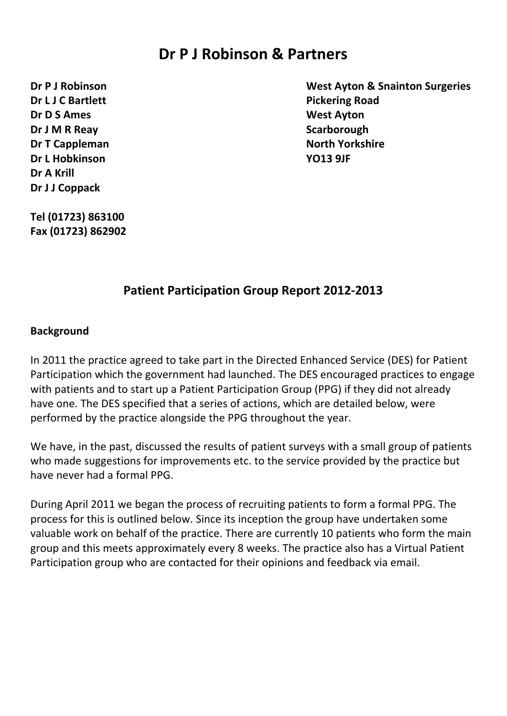# **Dr P J Robinson & Partners**

**Dr L J C Bartlett Pickering Road Dr D S Ames West Ayton Dr J M R Reav Scarborough Dr T Cappleman North Yorkshire Dr L Hobkinson YO13 9JF Dr A Krill Dr J J Coppack**

**Dr P J Robinson West Ayton & Snainton Surgeries**

**Tel (01723) 863100 Fax (01723) 862902**

## **Patient Participation Group Report 2012-2013**

### **Background**

In 2011 the practice agreed to take part in the Directed Enhanced Service (DES) for Patient Participation which the government had launched. The DES encouraged practices to engage with patients and to start up a Patient Participation Group (PPG) if they did not already have one. The DES specified that a series of actions, which are detailed below, were performed by the practice alongside the PPG throughout the year.

We have, in the past, discussed the results of patient surveys with a small group of patients who made suggestions for improvements etc. to the service provided by the practice but have never had a formal PPG.

During April 2011 we began the process of recruiting patients to form a formal PPG. The process for this is outlined below. Since its inception the group have undertaken some valuable work on behalf of the practice. There are currently 10 patients who form the main group and this meets approximately every 8 weeks. The practice also has a Virtual Patient Participation group who are contacted for their opinions and feedback via email.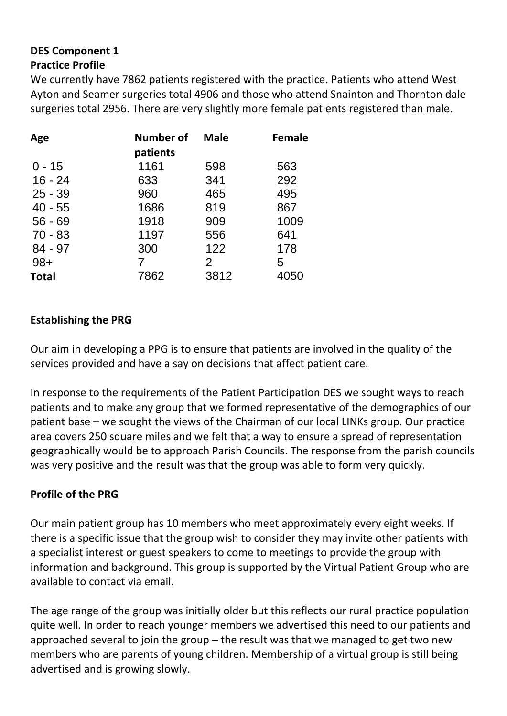# **DES Component 1 Practice Profile**

We currently have 7862 patients registered with the practice. Patients who attend West Ayton and Seamer surgeries total 4906 and those who attend Snainton and Thornton dale surgeries total 2956. There are very slightly more female patients registered than male.

| Age          | Number of<br>patients | <b>Male</b>    | <b>Female</b> |
|--------------|-----------------------|----------------|---------------|
| $0 - 15$     | 1161                  | 598            | 563           |
| $16 - 24$    | 633                   | 341            | 292           |
| $25 - 39$    | 960                   | 465            | 495           |
| $40 - 55$    | 1686                  | 819            | 867           |
| $56 - 69$    | 1918                  | 909            | 1009          |
| $70 - 83$    | 1197                  | 556            | 641           |
| $84 - 97$    | 300                   | 122            | 178           |
| $98+$        | 7                     | $\overline{2}$ | 5             |
| <b>Total</b> | 7862                  | 3812           | 4050          |

## **Establishing the PRG**

Our aim in developing a PPG is to ensure that patients are involved in the quality of the services provided and have a say on decisions that affect patient care.

In response to the requirements of the Patient Participation DES we sought ways to reach patients and to make any group that we formed representative of the demographics of our patient base – we sought the views of the Chairman of our local LINKs group. Our practice area covers 250 square miles and we felt that a way to ensure a spread of representation geographically would be to approach Parish Councils. The response from the parish councils was very positive and the result was that the group was able to form very quickly.

## **Profile of the PRG**

Our main patient group has 10 members who meet approximately every eight weeks. If there is a specific issue that the group wish to consider they may invite other patients with a specialist interest or guest speakers to come to meetings to provide the group with information and background. This group is supported by the Virtual Patient Group who are available to contact via email.

The age range of the group was initially older but this reflects our rural practice population quite well. In order to reach younger members we advertised this need to our patients and approached several to join the group – the result was that we managed to get two new members who are parents of young children. Membership of a virtual group is still being advertised and is growing slowly.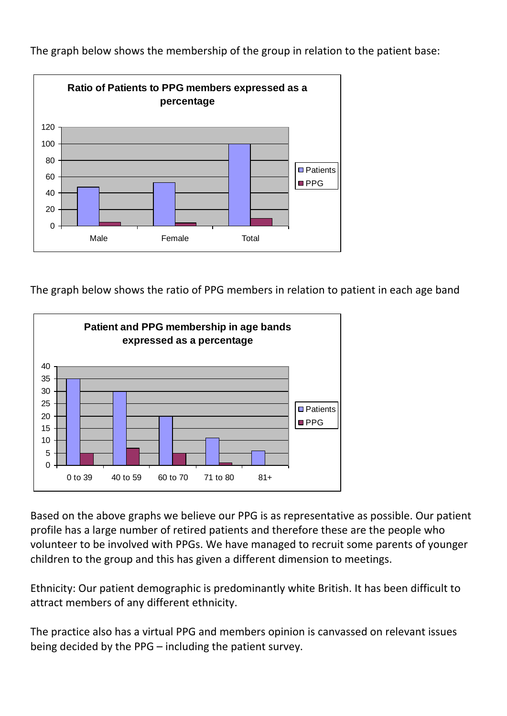

The graph below shows the membership of the group in relation to the patient base:

The graph below shows the ratio of PPG members in relation to patient in each age band



Based on the above graphs we believe our PPG is as representative as possible. Our patient profile has a large number of retired patients and therefore these are the people who volunteer to be involved with PPGs. We have managed to recruit some parents of younger children to the group and this has given a different dimension to meetings.

Ethnicity: Our patient demographic is predominantly white British. It has been difficult to attract members of any different ethnicity.

The practice also has a virtual PPG and members opinion is canvassed on relevant issues being decided by the PPG – including the patient survey.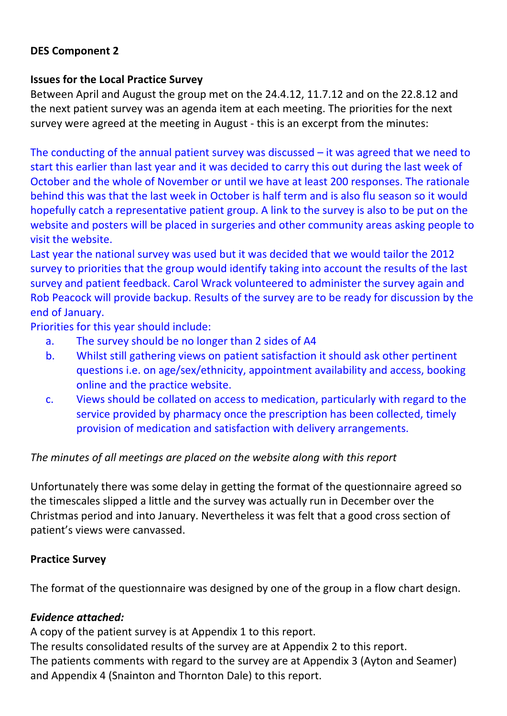## **DES Component 2**

## **Issues for the Local Practice Survey**

Between April and August the group met on the 24.4.12, 11.7.12 and on the 22.8.12 and the next patient survey was an agenda item at each meeting. The priorities for the next survey were agreed at the meeting in August - this is an excerpt from the minutes:

The conducting of the annual patient survey was discussed – it was agreed that we need to start this earlier than last year and it was decided to carry this out during the last week of October and the whole of November or until we have at least 200 responses. The rationale behind this was that the last week in October is half term and is also flu season so it would hopefully catch a representative patient group. A link to the survey is also to be put on the website and posters will be placed in surgeries and other community areas asking people to visit the website.

Last year the national survey was used but it was decided that we would tailor the 2012 survey to priorities that the group would identify taking into account the results of the last survey and patient feedback. Carol Wrack volunteered to administer the survey again and Rob Peacock will provide backup. Results of the survey are to be ready for discussion by the end of January.

Priorities for this year should include:

- a. The survey should be no longer than 2 sides of A4
- b. Whilst still gathering views on patient satisfaction it should ask other pertinent questions i.e. on age/sex/ethnicity, appointment availability and access, booking online and the practice website.
- c. Views should be collated on access to medication, particularly with regard to the service provided by pharmacy once the prescription has been collected, timely provision of medication and satisfaction with delivery arrangements.

## *The minutes of all meetings are placed on the website along with this report*

Unfortunately there was some delay in getting the format of the questionnaire agreed so the timescales slipped a little and the survey was actually run in December over the Christmas period and into January. Nevertheless it was felt that a good cross section of patient's views were canvassed.

## **Practice Survey**

The format of the questionnaire was designed by one of the group in a flow chart design.

## *Evidence attached:*

A copy of the patient survey is at Appendix 1 to this report.

The results consolidated results of the survey are at Appendix 2 to this report. The patients comments with regard to the survey are at Appendix 3 (Ayton and Seamer) and Appendix 4 (Snainton and Thornton Dale) to this report.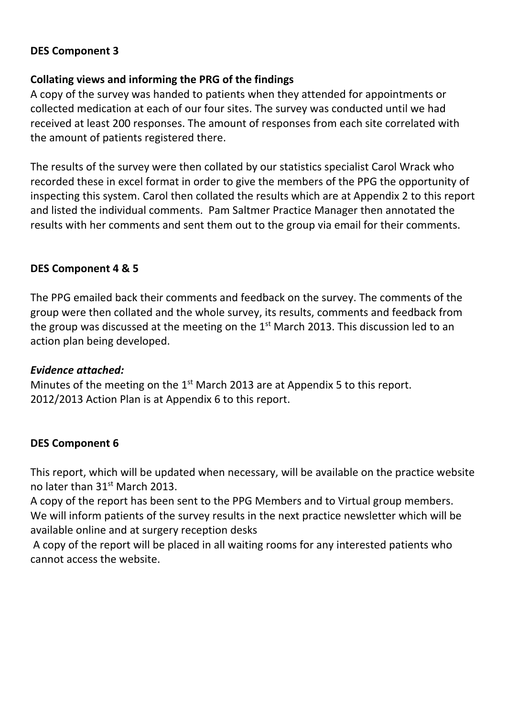## **DES Component 3**

## **Collating views and informing the PRG of the findings**

A copy of the survey was handed to patients when they attended for appointments or collected medication at each of our four sites. The survey was conducted until we had received at least 200 responses. The amount of responses from each site correlated with the amount of patients registered there.

The results of the survey were then collated by our statistics specialist Carol Wrack who recorded these in excel format in order to give the members of the PPG the opportunity of inspecting this system. Carol then collated the results which are at Appendix 2 to this report and listed the individual comments. Pam Saltmer Practice Manager then annotated the results with her comments and sent them out to the group via email for their comments.

### **DES Component 4 & 5**

The PPG emailed back their comments and feedback on the survey. The comments of the group were then collated and the whole survey, its results, comments and feedback from the group was discussed at the meeting on the  $1<sup>st</sup>$  March 2013. This discussion led to an action plan being developed.

### *Evidence attached:*

Minutes of the meeting on the  $1<sup>st</sup>$  March 2013 are at Appendix 5 to this report. 2012/2013 Action Plan is at Appendix 6 to this report.

### **DES Component 6**

This report, which will be updated when necessary, will be available on the practice website no later than 31<sup>st</sup> March 2013.

A copy of the report has been sent to the PPG Members and to Virtual group members. We will inform patients of the survey results in the next practice newsletter which will be available online and at surgery reception desks

A copy of the report will be placed in all waiting rooms for any interested patients who cannot access the website.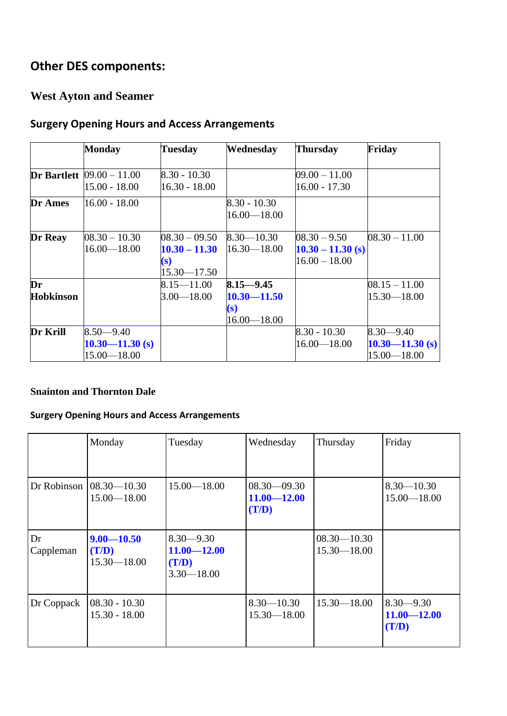# **Other DES components:**

# **West Ayton and Seamer**

# **Surgery Opening Hours and Access Arrangements**

|                        | <b>Monday</b>                                           | <b>Tuesday</b>                                               | Wednesday                                                  | <b>Thursday</b>                                          | Friday                                                  |
|------------------------|---------------------------------------------------------|--------------------------------------------------------------|------------------------------------------------------------|----------------------------------------------------------|---------------------------------------------------------|
|                        | <b>Dr Bartlett</b> $ 09.00 - 11.00 $<br>$15.00 - 18.00$ | $8.30 - 10.30$<br>16.30 - 18.00                              |                                                            | $09.00 - 11.00$<br>$16.00 - 17.30$                       |                                                         |
| Dr Ames                | $16.00 - 18.00$                                         |                                                              | $8.30 - 10.30$<br>$16.00 - 18.00$                          |                                                          |                                                         |
| Dr Reay                | $08.30 - 10.30$<br>$16.00 - 18.00$                      | $08.30 - 09.50$<br>$10.30 - 11.30$<br>(s)<br>$15.30 - 17.50$ | $8.30 - 10.30$<br>$16.30 - 18.00$                          | $08.30 - 9.50$<br>$10.30 - 11.30$ (s)<br>$16.00 - 18.00$ | $08.30 - 11.00$                                         |
| Dr<br><b>Hobkinson</b> |                                                         | $8.15 - 11.00$<br>$3.00 - 18.00$                             | $8.15 - 9.45$<br>$10.30 - 11.50$<br>(s)<br>$16.00 - 18.00$ |                                                          | $08.15 - 11.00$<br>$15.30 - 18.00$                      |
| Dr Krill               | $8.50 - 9.40$<br>$10.30 - 11.30$ (s)<br>15.00 - 18.00   |                                                              |                                                            | $8.30 - 10.30$<br>$16.00 - 18.00$                        | $8.30 - 9.40$<br>$10.30 - 11.30$ (s)<br>$15.00 - 18.00$ |

### **Snainton and Thornton Dale**

## **Surgery Opening Hours and Access Arrangements**

|                 | Monday                                           | Tuesday                                                     | Wednesday                                   | Thursday                           | Friday                                    |
|-----------------|--------------------------------------------------|-------------------------------------------------------------|---------------------------------------------|------------------------------------|-------------------------------------------|
|                 | Dr Robinson $(08.30 - 10.30)$<br>$15.00 - 18.00$ | $15.00 - 18.00$                                             | $08.30 - 09.30$<br>$11.00 - 12.00$<br>(T/D) |                                    | $8.30 - 10.30$<br>$15.00 - 18.00$         |
| Dr<br>Cappleman | $9.00 - 10.50$<br>(T/D)<br>$15.30 - 18.00$       | $8.30 - 9.30$<br>$11.00 - 12.00$<br>(T/D)<br>$3.30 - 18.00$ |                                             | $08.30 - 10.30$<br>$15.30 - 18.00$ |                                           |
| Dr Coppack      | $08.30 - 10.30$<br>$15.30 - 18.00$               |                                                             | $8.30 - 10.30$<br>$15.30 - 18.00$           | $15.30 - 18.00$                    | $8.30 - 9.30$<br>$11.00 - 12.00$<br>(T/D) |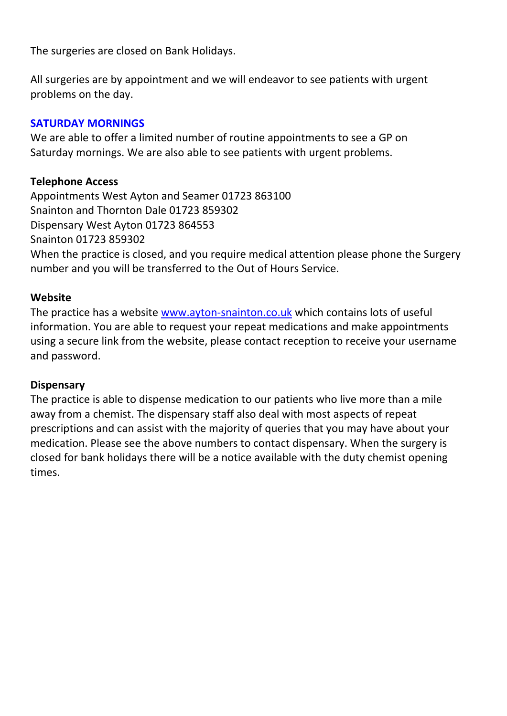The surgeries are closed on Bank Holidays.

All surgeries are by appointment and we will endeavor to see patients with urgent problems on the day.

## **SATURDAY MORNINGS**

We are able to offer a limited number of routine appointments to see a GP on Saturday mornings. We are also able to see patients with urgent problems.

## **Telephone Access**

Appointments West Ayton and Seamer 01723 863100 Snainton and Thornton Dale 01723 859302 Dispensary West Ayton 01723 864553 Snainton 01723 859302 When the practice is closed, and you require medical attention please phone the Surgery number and you will be transferred to the Out of Hours Service.

## **Website**

The practice has a website [www.ayton-snainton.co.uk](http://www.ayton-snainton.co.uk/) which contains lots of useful information. You are able to request your repeat medications and make appointments using a secure link from the website, please contact reception to receive your username and password.

## **Dispensary**

The practice is able to dispense medication to our patients who live more than a mile away from a chemist. The dispensary staff also deal with most aspects of repeat prescriptions and can assist with the majority of queries that you may have about your medication. Please see the above numbers to contact dispensary. When the surgery is closed for bank holidays there will be a notice available with the duty chemist opening times.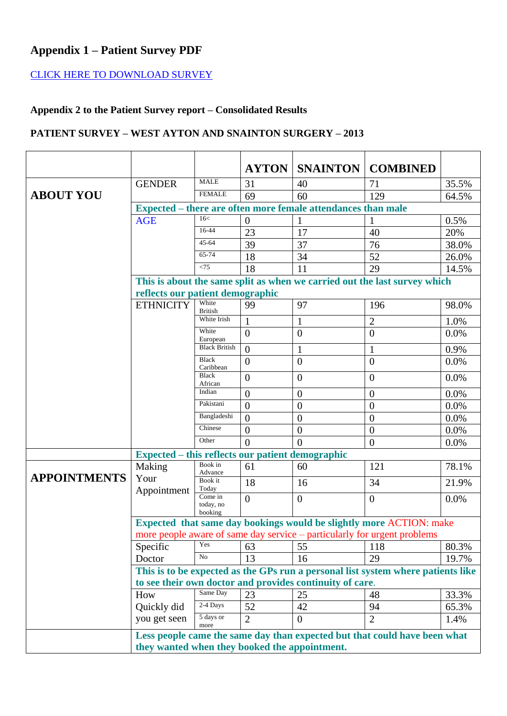# **Appendix 1 – Patient Survey PDF**

## [CLICK HERE TO DOWNLOAD SURVEY](http://www.ayton-snainton.co.uk/Survey/Appendix1.pdf)

# **Appendix 2 to the Patient Survey report – Consolidated Results**

### **PATIENT SURVEY – WEST AYTON AND SNAINTON SURGERY – 2013**

|                     |                                                          |                                                              | <b>AYTON</b>     | <b>SNAINTON</b>  | <b>COMBINED</b>                                                                  |       |  |  |
|---------------------|----------------------------------------------------------|--------------------------------------------------------------|------------------|------------------|----------------------------------------------------------------------------------|-------|--|--|
|                     | <b>GENDER</b>                                            | <b>MALE</b>                                                  | 31               | 40               | 71                                                                               | 35.5% |  |  |
| <b>ABOUT YOU</b>    |                                                          | <b>FEMALE</b>                                                | 69               | 60               | 129                                                                              | 64.5% |  |  |
|                     |                                                          | Expected – there are often more female attendances than male |                  |                  |                                                                                  |       |  |  |
|                     | <b>AGE</b>                                               | 16<                                                          | $\boldsymbol{0}$ |                  | 1                                                                                | 0.5%  |  |  |
|                     |                                                          | 16-44                                                        | 23               | 17               | 40                                                                               | 20%   |  |  |
|                     |                                                          | 45-64                                                        | 39               | 37               | 76                                                                               | 38.0% |  |  |
|                     |                                                          | $65 - 74$                                                    | 18               | 34               | 52                                                                               | 26.0% |  |  |
|                     |                                                          | < 75                                                         | 18               | 11               | 29                                                                               | 14.5% |  |  |
|                     |                                                          |                                                              |                  |                  | This is about the same split as when we carried out the last survey which        |       |  |  |
|                     | reflects our patient demographic                         |                                                              |                  |                  |                                                                                  |       |  |  |
|                     | <b>ETHNICITY</b>                                         | White<br><b>British</b>                                      | 99               | 97               | 196                                                                              | 98.0% |  |  |
|                     |                                                          | White Irish                                                  | $\mathbf{1}$     | $\mathbf{1}$     | $\overline{2}$                                                                   | 1.0%  |  |  |
|                     |                                                          | White<br>European                                            | $\overline{0}$   | $\overline{0}$   | $\overline{0}$                                                                   | 0.0%  |  |  |
|                     |                                                          | <b>Black British</b>                                         | $\overline{0}$   | 1                | 1                                                                                | 0.9%  |  |  |
|                     |                                                          | <b>Black</b><br>Caribbean                                    | $\overline{0}$   | $\overline{0}$   | $\overline{0}$                                                                   | 0.0%  |  |  |
|                     |                                                          | <b>Black</b><br>African                                      | $\overline{0}$   | $\overline{0}$   | $\overline{0}$                                                                   | 0.0%  |  |  |
|                     |                                                          | Indian                                                       | $\boldsymbol{0}$ | $\boldsymbol{0}$ | $\theta$                                                                         | 0.0%  |  |  |
|                     |                                                          | Pakistani                                                    | $\overline{0}$   | $\overline{0}$   | $\overline{0}$                                                                   | 0.0%  |  |  |
|                     |                                                          | Bangladeshi                                                  | $\overline{0}$   | $\overline{0}$   | $\overline{0}$                                                                   | 0.0%  |  |  |
|                     |                                                          | Chinese                                                      | $\overline{0}$   | $\boldsymbol{0}$ | $\overline{0}$                                                                   | 0.0%  |  |  |
|                     |                                                          | Other                                                        | $\theta$         | $\theta$         | $\overline{0}$                                                                   | 0.0%  |  |  |
|                     | Expected – this reflects our patient demographic         |                                                              |                  |                  |                                                                                  |       |  |  |
|                     | Making                                                   | Book in<br>Advance                                           | 61               | 60               | 121                                                                              | 78.1% |  |  |
| <b>APPOINTMENTS</b> | Your<br>Appointment                                      | Book it<br>Today                                             | 18               | 16               | 34                                                                               | 21.9% |  |  |
|                     |                                                          | Come in<br>today, no                                         | $\overline{0}$   | $\overline{0}$   | $\overline{0}$                                                                   | 0.0%  |  |  |
|                     |                                                          | booking                                                      |                  |                  |                                                                                  |       |  |  |
|                     |                                                          |                                                              |                  |                  | <b>Expected that same day bookings would be slightly more ACTION: make</b>       |       |  |  |
|                     |                                                          |                                                              |                  |                  | more people aware of same day service – particularly for urgent problems         |       |  |  |
|                     | Specific                                                 | Yes                                                          | 63               | 55               | 118                                                                              | 80.3% |  |  |
|                     | Doctor                                                   | N <sub>o</sub>                                               | 13               | 16               | 29                                                                               | 19.7% |  |  |
|                     |                                                          |                                                              |                  |                  | This is to be expected as the GPs run a personal list system where patients like |       |  |  |
|                     | to see their own doctor and provides continuity of care. |                                                              |                  |                  |                                                                                  |       |  |  |
|                     | How                                                      | Same Day                                                     | 23               | 25               | 48                                                                               | 33.3% |  |  |
|                     | Quickly did                                              | 2-4 Days                                                     | 52               | 42               | 94                                                                               | 65.3% |  |  |
|                     | you get seen                                             | 5 days or<br>more                                            | $\overline{2}$   | $\Omega$         | $\overline{2}$                                                                   | 1.4%  |  |  |
|                     |                                                          |                                                              |                  |                  | Less people came the same day than expected but that could have been what        |       |  |  |
|                     | they wanted when they booked the appointment.            |                                                              |                  |                  |                                                                                  |       |  |  |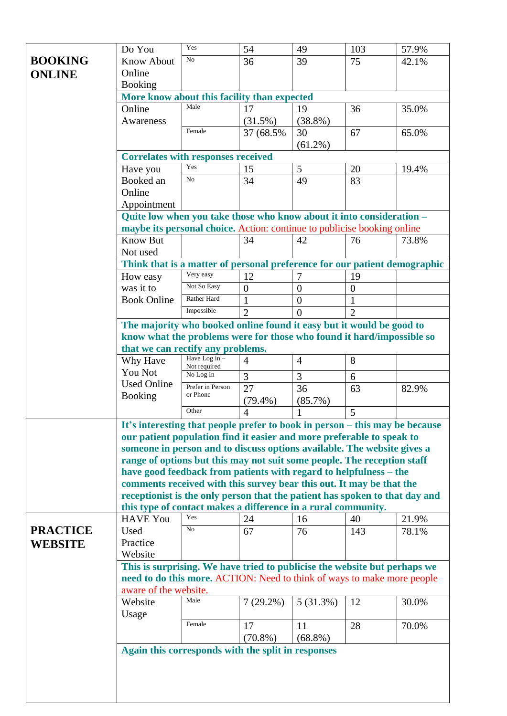|                 | Do You                                                                                                                                               | Yes                             | 54               | 49             | 103            | 57.9% |  |  |
|-----------------|------------------------------------------------------------------------------------------------------------------------------------------------------|---------------------------------|------------------|----------------|----------------|-------|--|--|
| <b>BOOKING</b>  | <b>Know About</b>                                                                                                                                    | No                              | 36               | 39             | 75             | 42.1% |  |  |
| <b>ONLINE</b>   | Online                                                                                                                                               |                                 |                  |                |                |       |  |  |
|                 | <b>Booking</b>                                                                                                                                       |                                 |                  |                |                |       |  |  |
|                 | More know about this facility than expected                                                                                                          |                                 |                  |                |                |       |  |  |
|                 | Online                                                                                                                                               | Male                            | 17               | 19             | 36             | 35.0% |  |  |
|                 | Awareness                                                                                                                                            |                                 | (31.5%)          | $(38.8\%)$     |                |       |  |  |
|                 |                                                                                                                                                      | Female                          | 37 (68.5%)       | 30             | 67             | 65.0% |  |  |
|                 |                                                                                                                                                      |                                 |                  | $(61.2\%)$     |                |       |  |  |
|                 | <b>Correlates with responses received</b>                                                                                                            |                                 |                  |                |                |       |  |  |
|                 | Have you                                                                                                                                             | Yes                             | 15               | 5              | 20             | 19.4% |  |  |
|                 | Booked an                                                                                                                                            | N <sub>o</sub>                  | 34               | 49             | 83             |       |  |  |
|                 | Online                                                                                                                                               |                                 |                  |                |                |       |  |  |
|                 | Appointment                                                                                                                                          |                                 |                  |                |                |       |  |  |
|                 | Quite low when you take those who know about it into consideration -                                                                                 |                                 |                  |                |                |       |  |  |
|                 | maybe its personal choice. Action: continue to publicise booking online                                                                              |                                 |                  |                |                |       |  |  |
|                 | <b>Know But</b>                                                                                                                                      |                                 | 34               | 42             | 76             | 73.8% |  |  |
|                 | Not used                                                                                                                                             |                                 |                  |                |                |       |  |  |
|                 | Think that is a matter of personal preference for our patient demographic                                                                            |                                 |                  |                |                |       |  |  |
|                 | How easy                                                                                                                                             | Very easy                       | 12               | 7              | 19             |       |  |  |
|                 | was it to                                                                                                                                            | Not So Easy                     | $\boldsymbol{0}$ | $\overline{0}$ | $\overline{0}$ |       |  |  |
|                 | <b>Book Online</b>                                                                                                                                   | Rather Hard                     | $\mathbf{1}$     | $\theta$       |                |       |  |  |
|                 |                                                                                                                                                      | Impossible                      | $\overline{2}$   | $\theta$       | $\overline{2}$ |       |  |  |
|                 | The majority who booked online found it easy but it would be good to                                                                                 |                                 |                  |                |                |       |  |  |
|                 | know what the problems were for those who found it hard/impossible so                                                                                |                                 |                  |                |                |       |  |  |
|                 | that we can rectify any problems.                                                                                                                    |                                 |                  |                |                |       |  |  |
|                 | Why Have                                                                                                                                             | Have Log in $-$<br>Not required | $\overline{4}$   | $\overline{4}$ | 8              |       |  |  |
|                 | You Not                                                                                                                                              | No Log In                       | 3                | 3              | 6              |       |  |  |
|                 | <b>Used Online</b>                                                                                                                                   | Prefer in Person                | 27               | 36             | 63             | 82.9% |  |  |
|                 | <b>Booking</b>                                                                                                                                       | or Phone                        | $(79.4\%)$       | $(85.7\%)$     |                |       |  |  |
|                 |                                                                                                                                                      | Other                           | $\overline{4}$   |                | 5              |       |  |  |
|                 |                                                                                                                                                      |                                 |                  |                |                |       |  |  |
|                 | It's interesting that people prefer to book in person - this may be because<br>our patient population find it easier and more preferable to speak to |                                 |                  |                |                |       |  |  |
|                 | someone in person and to discuss options available. The website gives a                                                                              |                                 |                  |                |                |       |  |  |
|                 | range of options but this may not suit some people. The reception staff                                                                              |                                 |                  |                |                |       |  |  |
|                 | have good feedback from patients with regard to helpfulness – the                                                                                    |                                 |                  |                |                |       |  |  |
|                 | comments received with this survey bear this out. It may be that the                                                                                 |                                 |                  |                |                |       |  |  |
|                 | receptionist is the only person that the patient has spoken to that day and                                                                          |                                 |                  |                |                |       |  |  |
|                 | this type of contact makes a difference in a rural community.                                                                                        |                                 |                  |                |                |       |  |  |
|                 | <b>HAVE You</b>                                                                                                                                      | Yes                             | 24               | 16             | 40             | 21.9% |  |  |
| <b>PRACTICE</b> | Used                                                                                                                                                 | No                              | 67               | 76             | 143            | 78.1% |  |  |
| <b>WEBSITE</b>  | Practice                                                                                                                                             |                                 |                  |                |                |       |  |  |
|                 | Website                                                                                                                                              |                                 |                  |                |                |       |  |  |
|                 | This is surprising. We have tried to publicise the website but perhaps we                                                                            |                                 |                  |                |                |       |  |  |
|                 | need to do this more. ACTION: Need to think of ways to make more people                                                                              |                                 |                  |                |                |       |  |  |
|                 | aware of the website.                                                                                                                                |                                 |                  |                |                |       |  |  |
|                 | Website                                                                                                                                              | Male                            | $7(29.2\%)$      | 5(31.3%)       | 12             | 30.0% |  |  |
|                 | Usage                                                                                                                                                |                                 |                  |                |                |       |  |  |
|                 |                                                                                                                                                      | Female                          | 17               | 11             | 28             | 70.0% |  |  |
|                 |                                                                                                                                                      |                                 | $(70.8\%)$       | $(68.8\%)$     |                |       |  |  |
|                 | Again this corresponds with the split in responses                                                                                                   |                                 |                  |                |                |       |  |  |
|                 |                                                                                                                                                      |                                 |                  |                |                |       |  |  |
|                 |                                                                                                                                                      |                                 |                  |                |                |       |  |  |
|                 |                                                                                                                                                      |                                 |                  |                |                |       |  |  |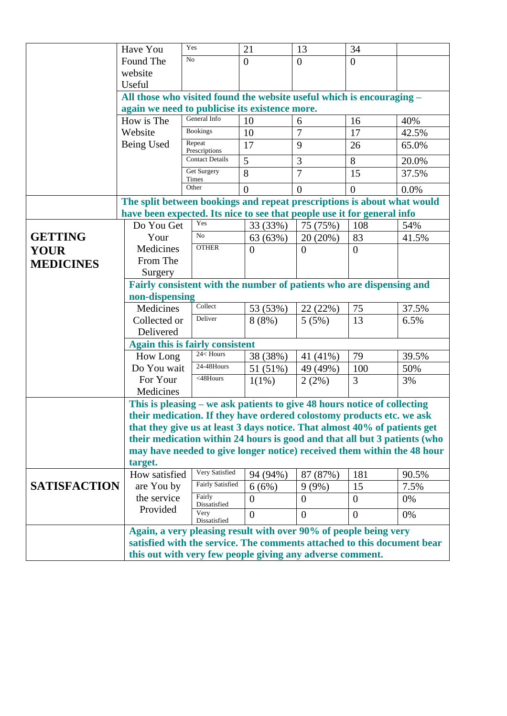|                     | Have You                                                                  | Yes                                                                                                                                                  | 21             | 13             | 34             |       |  |  |
|---------------------|---------------------------------------------------------------------------|------------------------------------------------------------------------------------------------------------------------------------------------------|----------------|----------------|----------------|-------|--|--|
|                     | Found The                                                                 | No                                                                                                                                                   | $\overline{0}$ | $\overline{0}$ | $\overline{0}$ |       |  |  |
|                     | website                                                                   |                                                                                                                                                      |                |                |                |       |  |  |
|                     | Useful                                                                    |                                                                                                                                                      |                |                |                |       |  |  |
|                     |                                                                           | All those who visited found the website useful which is encouraging -                                                                                |                |                |                |       |  |  |
|                     |                                                                           | again we need to publicise its existence more.                                                                                                       |                |                |                |       |  |  |
|                     | How is The                                                                | General Info                                                                                                                                         | 10             | 6              | 16             | 40%   |  |  |
|                     | Website                                                                   | <b>Bookings</b>                                                                                                                                      | 10             | $\overline{7}$ | 17             | 42.5% |  |  |
|                     | Being Used                                                                | Repeat<br>Prescriptions                                                                                                                              | 17             | 9              | 26             | 65.0% |  |  |
|                     |                                                                           | <b>Contact Details</b>                                                                                                                               | 5              | 3              | 8              | 20.0% |  |  |
|                     |                                                                           | Get Surgery<br>Times                                                                                                                                 | 8              | $\overline{7}$ | 15             | 37.5% |  |  |
|                     |                                                                           | Other                                                                                                                                                | $\theta$       | $\theta$       | $\overline{0}$ | 0.0%  |  |  |
|                     | The split between bookings and repeat prescriptions is about what would   |                                                                                                                                                      |                |                |                |       |  |  |
|                     | have been expected. Its nice to see that people use it for general info   |                                                                                                                                                      |                |                |                |       |  |  |
|                     | Do You Get                                                                | Yes                                                                                                                                                  | 33 (33%)       | 75 (75%)       | 108            | 54%   |  |  |
| <b>GETTING</b>      | Your                                                                      | No                                                                                                                                                   | 63 (63%)       | 20(20%)        | 83             | 41.5% |  |  |
| <b>YOUR</b>         | Medicines                                                                 | <b>OTHER</b>                                                                                                                                         | $\overline{0}$ | $\theta$       | $\overline{0}$ |       |  |  |
| <b>MEDICINES</b>    | From The                                                                  |                                                                                                                                                      |                |                |                |       |  |  |
|                     | Surgery                                                                   |                                                                                                                                                      |                |                |                |       |  |  |
|                     | Fairly consistent with the number of patients who are dispensing and      |                                                                                                                                                      |                |                |                |       |  |  |
|                     |                                                                           | non-dispensing                                                                                                                                       |                |                |                |       |  |  |
|                     | Medicines                                                                 | Collect                                                                                                                                              | 53 (53%)       | 22(22%)        | 75             | 37.5% |  |  |
|                     | Collected or                                                              | Deliver                                                                                                                                              | 8(8%)          | 5(5%)          | 13             | 6.5%  |  |  |
|                     | Delivered                                                                 |                                                                                                                                                      |                |                |                |       |  |  |
|                     | <b>Again this is fairly consistent</b>                                    |                                                                                                                                                      |                |                |                |       |  |  |
|                     | How Long                                                                  | 24 <hours< th=""><th>38 (38%)</th><th>41 (41%)</th><th>79</th><th>39.5%</th></hours<>                                                                | 38 (38%)       | 41 (41%)       | 79             | 39.5% |  |  |
|                     | Do You wait                                                               | 24-48Hours                                                                                                                                           | 51 (51%)       | 49 (49%)       | 100            | 50%   |  |  |
|                     | For Your                                                                  | <48Hours                                                                                                                                             | $1(1\%)$       | 2(2%)          | 3              | 3%    |  |  |
|                     | Medicines                                                                 |                                                                                                                                                      |                |                |                |       |  |  |
|                     | This is pleasing – we ask patients to give 48 hours notice of collecting  |                                                                                                                                                      |                |                |                |       |  |  |
|                     |                                                                           | their medication. If they have ordered colostomy products etc. we ask                                                                                |                |                |                |       |  |  |
|                     | that they give us at least 3 days notice. That almost 40% of patients get |                                                                                                                                                      |                |                |                |       |  |  |
|                     |                                                                           | their medication within 24 hours is good and that all but 3 patients (who<br>may have needed to give longer notice) received them within the 48 hour |                |                |                |       |  |  |
|                     | target.                                                                   |                                                                                                                                                      |                |                |                |       |  |  |
|                     | How satisfied                                                             | Very Satisfied                                                                                                                                       | 94 (94%)       | 87 (87%)       | 181            | 90.5% |  |  |
| <b>SATISFACTION</b> | are You by                                                                | Fairly Satisfied                                                                                                                                     | 6(6%)          | $9(9\%)$       | 15             | 7.5%  |  |  |
|                     | the service                                                               | Fairly                                                                                                                                               | $\Omega$       | $\theta$       | $\overline{0}$ | 0%    |  |  |
|                     | Provided                                                                  | Dissatisfied<br>Very                                                                                                                                 |                |                |                |       |  |  |
|                     |                                                                           | Dissatisfied                                                                                                                                         | $\Omega$       | $\Omega$       | $\overline{0}$ | 0%    |  |  |
|                     | Again, a very pleasing result with over 90% of people being very          |                                                                                                                                                      |                |                |                |       |  |  |
|                     | satisfied with the service. The comments attached to this document bear   |                                                                                                                                                      |                |                |                |       |  |  |
|                     | this out with very few people giving any adverse comment.                 |                                                                                                                                                      |                |                |                |       |  |  |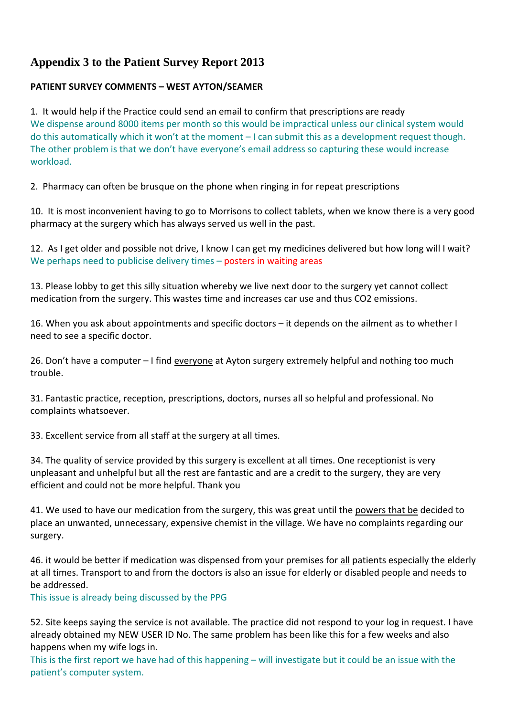## **Appendix 3 to the Patient Survey Report 2013**

### **PATIENT SURVEY COMMENTS – WEST AYTON/SEAMER**

1. It would help if the Practice could send an email to confirm that prescriptions are ready We dispense around 8000 items per month so this would be impractical unless our clinical system would do this automatically which it won't at the moment – I can submit this as a development request though. The other problem is that we don't have everyone's email address so capturing these would increase workload.

2. Pharmacy can often be brusque on the phone when ringing in for repeat prescriptions

10. It is most inconvenient having to go to Morrisons to collect tablets, when we know there is a very good pharmacy at the surgery which has always served us well in the past.

12. As I get older and possible not drive, I know I can get my medicines delivered but how long will I wait? We perhaps need to publicise delivery times - posters in waiting areas

13. Please lobby to get this silly situation whereby we live next door to the surgery yet cannot collect medication from the surgery. This wastes time and increases car use and thus CO2 emissions.

16. When you ask about appointments and specific doctors – it depends on the ailment as to whether I need to see a specific doctor.

26. Don't have a computer – I find everyone at Ayton surgery extremely helpful and nothing too much trouble.

31. Fantastic practice, reception, prescriptions, doctors, nurses all so helpful and professional. No complaints whatsoever.

33. Excellent service from all staff at the surgery at all times.

34. The quality of service provided by this surgery is excellent at all times. One receptionist is very unpleasant and unhelpful but all the rest are fantastic and are a credit to the surgery, they are very efficient and could not be more helpful. Thank you

41. We used to have our medication from the surgery, this was great until the powers that be decided to place an unwanted, unnecessary, expensive chemist in the village. We have no complaints regarding our surgery.

46. it would be better if medication was dispensed from your premises for all patients especially the elderly at all times. Transport to and from the doctors is also an issue for elderly or disabled people and needs to be addressed.

This issue is already being discussed by the PPG

52. Site keeps saying the service is not available. The practice did not respond to your log in request. I have already obtained my NEW USER ID No. The same problem has been like this for a few weeks and also happens when my wife logs in.

This is the first report we have had of this happening – will investigate but it could be an issue with the patient's computer system.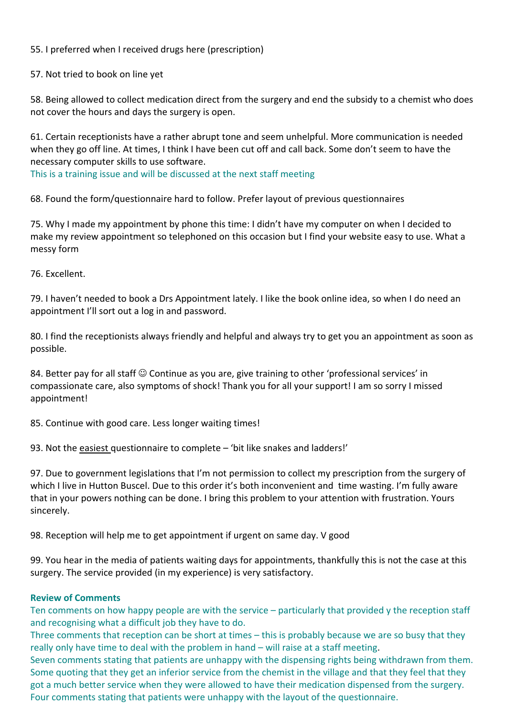55. I preferred when I received drugs here (prescription)

57. Not tried to book on line yet

58. Being allowed to collect medication direct from the surgery and end the subsidy to a chemist who does not cover the hours and days the surgery is open.

61. Certain receptionists have a rather abrupt tone and seem unhelpful. More communication is needed when they go off line. At times, I think I have been cut off and call back. Some don't seem to have the necessary computer skills to use software.

This is a training issue and will be discussed at the next staff meeting

68. Found the form/questionnaire hard to follow. Prefer layout of previous questionnaires

75. Why I made my appointment by phone this time: I didn't have my computer on when I decided to make my review appointment so telephoned on this occasion but I find your website easy to use. What a messy form

76. Excellent.

79. I haven't needed to book a Drs Appointment lately. I like the book online idea, so when I do need an appointment I'll sort out a log in and password.

80. I find the receptionists always friendly and helpful and always try to get you an appointment as soon as possible.

84. Better pay for all staff  $\odot$  Continue as you are, give training to other 'professional services' in compassionate care, also symptoms of shock! Thank you for all your support! I am so sorry I missed appointment!

85. Continue with good care. Less longer waiting times!

93. Not the easiest questionnaire to complete – 'bit like snakes and ladders!'

97. Due to government legislations that I'm not permission to collect my prescription from the surgery of which I live in Hutton Buscel. Due to this order it's both inconvenient and time wasting. I'm fully aware that in your powers nothing can be done. I bring this problem to your attention with frustration. Yours sincerely.

98. Reception will help me to get appointment if urgent on same day. V good

99. You hear in the media of patients waiting days for appointments, thankfully this is not the case at this surgery. The service provided (in my experience) is very satisfactory.

#### **Review of Comments**

Ten comments on how happy people are with the service – particularly that provided y the reception staff and recognising what a difficult job they have to do.

Three comments that reception can be short at times – this is probably because we are so busy that they really only have time to deal with the problem in hand – will raise at a staff meeting.

Seven comments stating that patients are unhappy with the dispensing rights being withdrawn from them. Some quoting that they get an inferior service from the chemist in the village and that they feel that they got a much better service when they were allowed to have their medication dispensed from the surgery. Four comments stating that patients were unhappy with the layout of the questionnaire.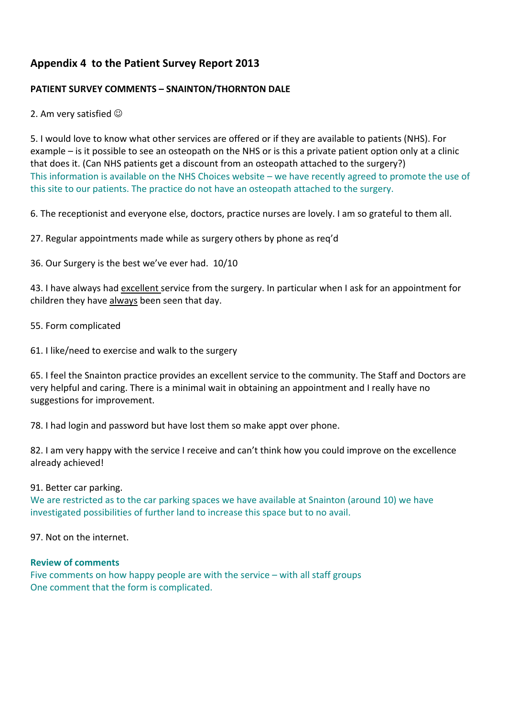## **Appendix 4 to the Patient Survey Report 2013**

### **PATIENT SURVEY COMMENTS – SNAINTON/THORNTON DALE**

#### 2. Am very satisfied  $\odot$

5. I would love to know what other services are offered or if they are available to patients (NHS). For example – is it possible to see an osteopath on the NHS or is this a private patient option only at a clinic that does it. (Can NHS patients get a discount from an osteopath attached to the surgery?) This information is available on the NHS Choices website – we have recently agreed to promote the use of this site to our patients. The practice do not have an osteopath attached to the surgery.

6. The receptionist and everyone else, doctors, practice nurses are lovely. I am so grateful to them all.

27. Regular appointments made while as surgery others by phone as req'd

36. Our Surgery is the best we've ever had. 10/10

43. I have always had excellent service from the surgery. In particular when I ask for an appointment for children they have always been seen that day.

55. Form complicated

61. I like/need to exercise and walk to the surgery

65. I feel the Snainton practice provides an excellent service to the community. The Staff and Doctors are very helpful and caring. There is a minimal wait in obtaining an appointment and I really have no suggestions for improvement.

78. I had login and password but have lost them so make appt over phone.

82. I am very happy with the service I receive and can't think how you could improve on the excellence already achieved!

#### 91. Better car parking.

We are restricted as to the car parking spaces we have available at Snainton (around 10) we have investigated possibilities of further land to increase this space but to no avail.

97. Not on the internet.

#### **Review of comments**

Five comments on how happy people are with the service – with all staff groups One comment that the form is complicated.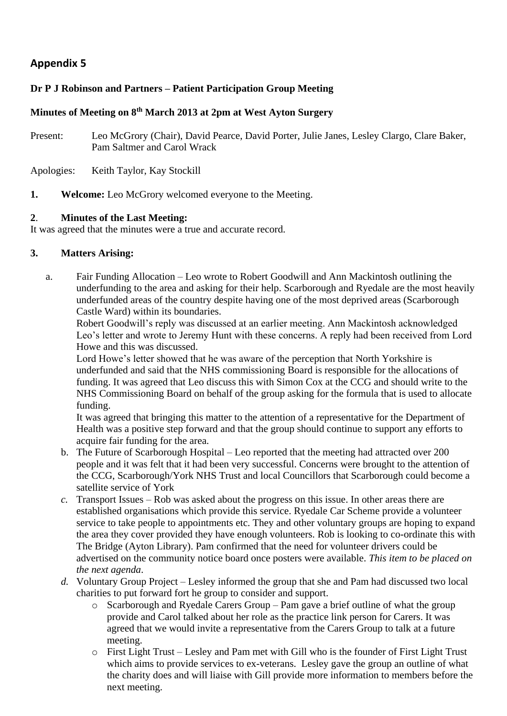## **Appendix 5**

### **Dr P J Robinson and Partners – Patient Participation Group Meeting**

### **Minutes of Meeting on 8th March 2013 at 2pm at West Ayton Surgery**

Present: Leo McGrory (Chair), David Pearce, David Porter, Julie Janes, Lesley Clargo, Clare Baker, Pam Saltmer and Carol Wrack

Apologies: Keith Taylor, Kay Stockill

**1. Welcome:** Leo McGrory welcomed everyone to the Meeting.

### **2**. **Minutes of the Last Meeting:**

It was agreed that the minutes were a true and accurate record.

### **3. Matters Arising:**

a. Fair Funding Allocation – Leo wrote to Robert Goodwill and Ann Mackintosh outlining the underfunding to the area and asking for their help. Scarborough and Ryedale are the most heavily underfunded areas of the country despite having one of the most deprived areas (Scarborough Castle Ward) within its boundaries.

Robert Goodwill's reply was discussed at an earlier meeting. Ann Mackintosh acknowledged Leo's letter and wrote to Jeremy Hunt with these concerns. A reply had been received from Lord Howe and this was discussed.

Lord Howe's letter showed that he was aware of the perception that North Yorkshire is underfunded and said that the NHS commissioning Board is responsible for the allocations of funding. It was agreed that Leo discuss this with Simon Cox at the CCG and should write to the NHS Commissioning Board on behalf of the group asking for the formula that is used to allocate funding.

It was agreed that bringing this matter to the attention of a representative for the Department of Health was a positive step forward and that the group should continue to support any efforts to acquire fair funding for the area.

- b. The Future of Scarborough Hospital Leo reported that the meeting had attracted over 200 people and it was felt that it had been very successful. Concerns were brought to the attention of the CCG, Scarborough/York NHS Trust and local Councillors that Scarborough could become a satellite service of York
- *c.* Transport Issues Rob was asked about the progress on this issue. In other areas there are established organisations which provide this service. Ryedale Car Scheme provide a volunteer service to take people to appointments etc. They and other voluntary groups are hoping to expand the area they cover provided they have enough volunteers. Rob is looking to co-ordinate this with The Bridge (Ayton Library). Pam confirmed that the need for volunteer drivers could be advertised on the community notice board once posters were available. *This item to be placed on the next agenda*.
- *d.* Voluntary Group Project Lesley informed the group that she and Pam had discussed two local charities to put forward fort he group to consider and support.
	- o Scarborough and Ryedale Carers Group Pam gave a brief outline of what the group provide and Carol talked about her role as the practice link person for Carers. It was agreed that we would invite a representative from the Carers Group to talk at a future meeting.
	- o First Light Trust Lesley and Pam met with Gill who is the founder of First Light Trust which aims to provide services to ex-veterans. Lesley gave the group an outline of what the charity does and will liaise with Gill provide more information to members before the next meeting.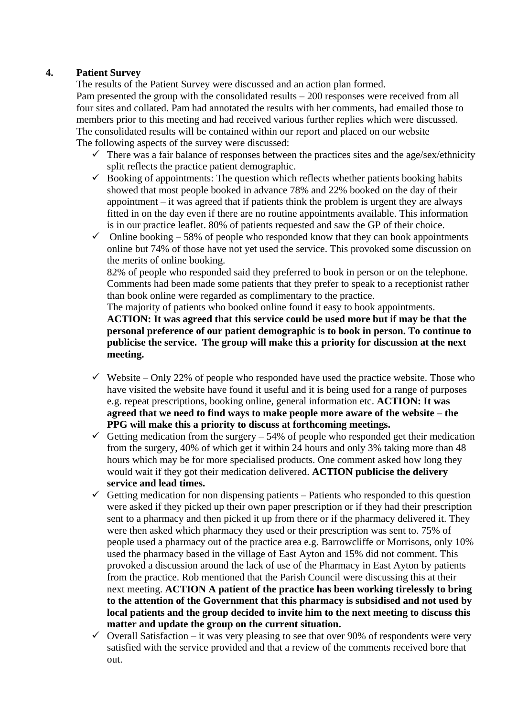### **4. Patient Survey**

The results of the Patient Survey were discussed and an action plan formed. Pam presented the group with the consolidated results – 200 responses were received from all four sites and collated. Pam had annotated the results with her comments, had emailed those to members prior to this meeting and had received various further replies which were discussed. The consolidated results will be contained within our report and placed on our website The following aspects of the survey were discussed:

- $\checkmark$  There was a fair balance of responses between the practices sites and the age/sex/ethnicity split reflects the practice patient demographic.
- $\checkmark$  Booking of appointments: The question which reflects whether patients booking habits showed that most people booked in advance 78% and 22% booked on the day of their appointment – it was agreed that if patients think the problem is urgent they are always fitted in on the day even if there are no routine appointments available. This information is in our practice leaflet. 80% of patients requested and saw the GP of their choice.
- $\checkmark$  Online booking 58% of people who responded know that they can book appointments online but 74% of those have not yet used the service. This provoked some discussion on the merits of online booking.

82% of people who responded said they preferred to book in person or on the telephone. Comments had been made some patients that they prefer to speak to a receptionist rather than book online were regarded as complimentary to the practice.

The majority of patients who booked online found it easy to book appointments.

**ACTION: It was agreed that this service could be used more but if may be that the personal preference of our patient demographic is to book in person. To continue to publicise the service. The group will make this a priority for discussion at the next meeting.**

- $\checkmark$  Website Only 22% of people who responded have used the practice website. Those who have visited the website have found it useful and it is being used for a range of purposes e.g. repeat prescriptions, booking online, general information etc. **ACTION: It was agreed that we need to find ways to make people more aware of the website – the PPG will make this a priority to discuss at forthcoming meetings.**
- Getting medication from the surgery  $-54\%$  of people who responded get their medication from the surgery, 40% of which get it within 24 hours and only 3% taking more than 48 hours which may be for more specialised products. One comment asked how long they would wait if they got their medication delivered. **ACTION publicise the delivery service and lead times.**
- $\checkmark$  Getting medication for non dispensing patients Patients who responded to this question were asked if they picked up their own paper prescription or if they had their prescription sent to a pharmacy and then picked it up from there or if the pharmacy delivered it. They were then asked which pharmacy they used or their prescription was sent to. 75% of people used a pharmacy out of the practice area e.g. Barrowcliffe or Morrisons, only 10% used the pharmacy based in the village of East Ayton and 15% did not comment. This provoked a discussion around the lack of use of the Pharmacy in East Ayton by patients from the practice. Rob mentioned that the Parish Council were discussing this at their next meeting. **ACTION A patient of the practice has been working tirelessly to bring to the attention of the Government that this pharmacy is subsidised and not used by local patients and the group decided to invite him to the next meeting to discuss this matter and update the group on the current situation.**
- $\checkmark$  Overall Satisfaction it was very pleasing to see that over 90% of respondents were very satisfied with the service provided and that a review of the comments received bore that out.